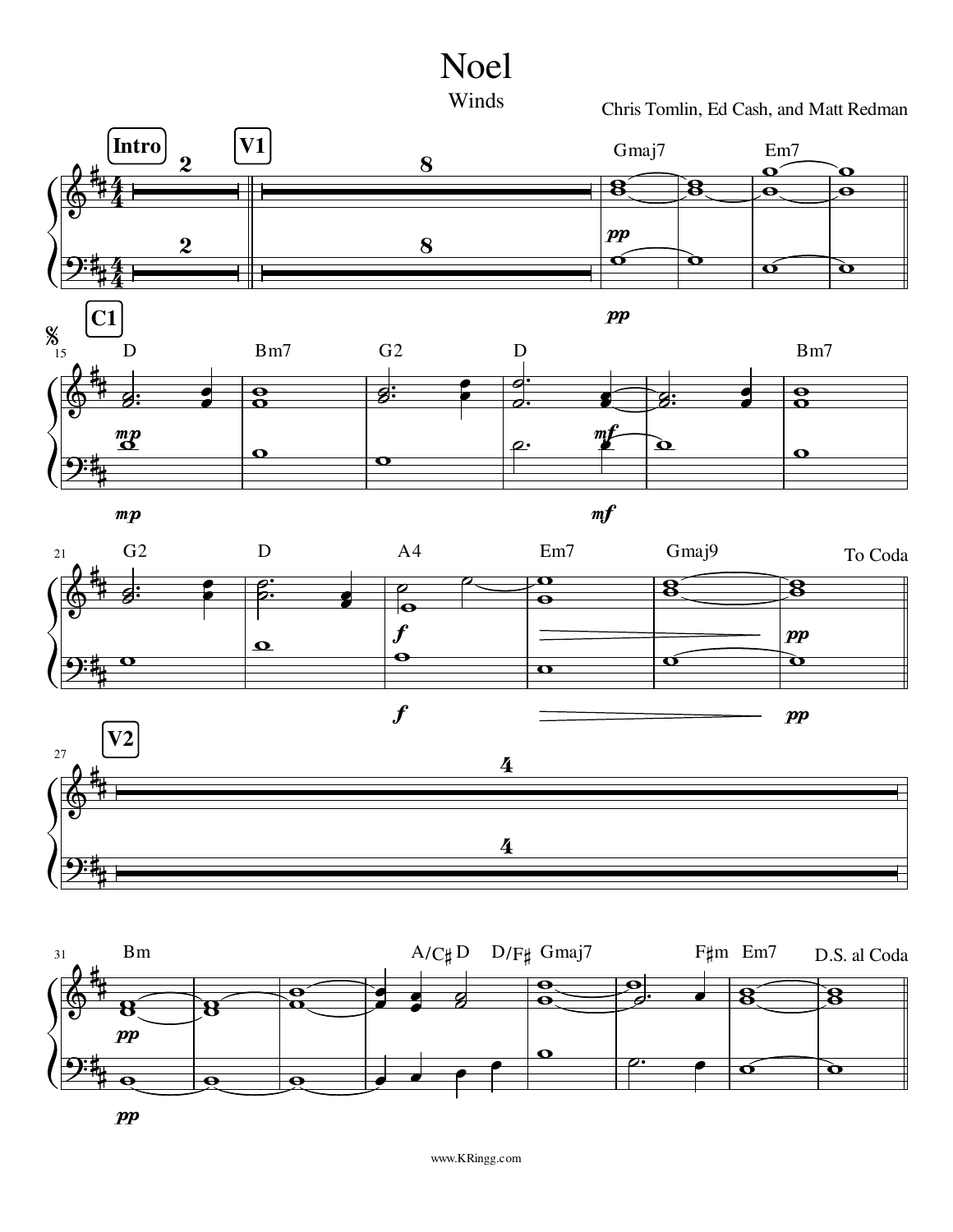



Chris Tomlin, Ed Cash, and Matt Redman











 $\boldsymbol{pp}$